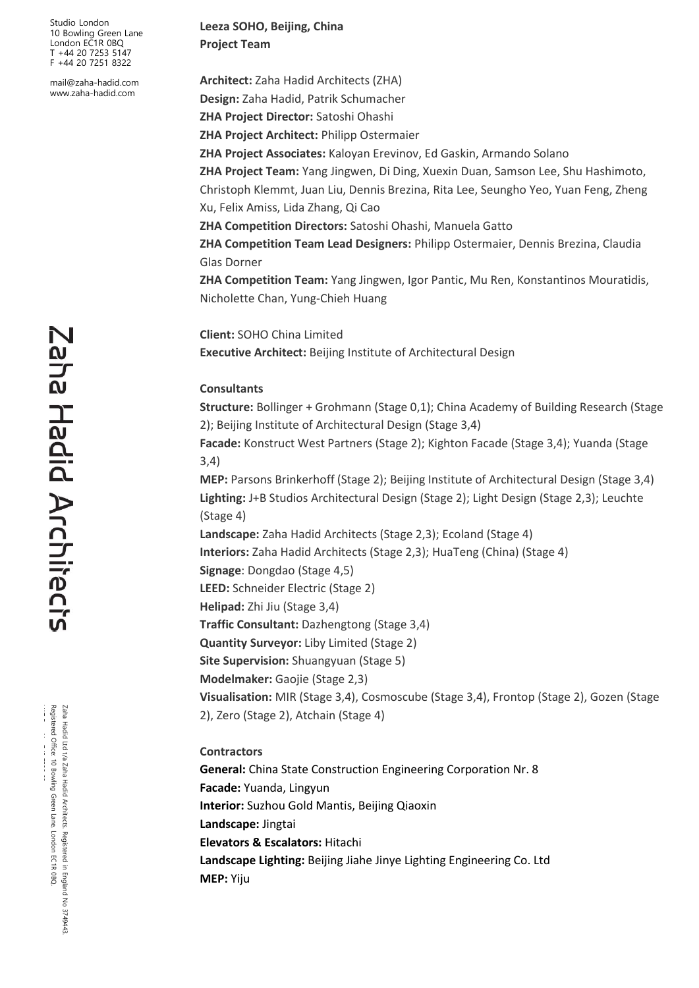Studio London 10 Bowling Green Lane London EC1R 0BQ T +44 20 7253 5147 F +44 20 7251 8322

[mail@zaha-hadid.com](mailto:mail@zaha-hadid.com) www.zaha-hadid.com

## **Leeza SOHO, Beijing, China Project Team**

**Architect:** Zaha Hadid Architects (ZHA) **Design:** Zaha Hadid, Patrik Schumacher **ZHA Project Director:** Satoshi Ohashi **ZHA Project Architect:** Philipp Ostermaier **ZHA Project Associates:** Kaloyan Erevinov, Ed Gaskin, Armando Solano **ZHA Project Team:** Yang Jingwen, Di Ding, Xuexin Duan, Samson Lee, Shu Hashimoto, Christoph Klemmt, Juan Liu, Dennis Brezina, Rita Lee, Seungho Yeo, Yuan Feng, Zheng Xu, Felix Amiss, Lida Zhang, Qi Cao **ZHA Competition Directors:** Satoshi Ohashi, Manuela Gatto **ZHA Competition Team Lead Designers:** Philipp Ostermaier, Dennis Brezina, Claudia Glas Dorner **ZHA Competition Team:** Yang Jingwen, Igor Pantic, Mu Ren, Konstantinos Mouratidis, Nicholette Chan, Yung-Chieh Huang **Client:** SOHO China Limited

**Executive Architect:** Beijing Institute of Architectural Design

## **Consultants**

**Structure:** Bollinger + Grohmann (Stage 0,1); China Academy of Building Research (Stage 2); Beijing Institute of Architectural Design (Stage 3,4) **Facade:** Konstruct West Partners (Stage 2); Kighton Facade (Stage 3,4); Yuanda (Stage 3,4) **MEP:** Parsons Brinkerhoff (Stage 2); Beijing Institute of Architectural Design (Stage 3,4) **Lighting:** J+B Studios Architectural Design (Stage 2); Light Design (Stage 2,3); Leuchte (Stage 4) **Landscape:** Zaha Hadid Architects (Stage 2,3); Ecoland (Stage 4) **Interiors:** Zaha Hadid Architects (Stage 2,3); HuaTeng (China) (Stage 4) **Signage**: Dongdao (Stage 4,5) **LEED:** Schneider Electric (Stage 2) **Helipad:** Zhi Jiu (Stage 3,4) **Traffic Consultant:** Dazhengtong (Stage 3,4) **Quantity Surveyor:** Liby Limited (Stage 2) **Site Supervision:** Shuangyuan (Stage 5) **Modelmaker:** Gaojie (Stage 2,3) **Visualisation:** MIR (Stage 3,4), Cosmoscube (Stage 3,4), Frontop (Stage 2), Gozen (Stage 2), Zero (Stage 2), Atchain (Stage 4)

## **Contractors**

**General:** China State Construction Engineering Corporation Nr. 8 **Facade:** Yuanda, Lingyun **Interior:** Suzhou Gold Mantis, Beijing Qiaoxin **Landscape:** Jingtai **Elevators & Escalators:** Hitachi **Landscape Lighting:** Beijing Jiahe Jinye Lighting Engineering Co. Ltd **MEP:** Yiju